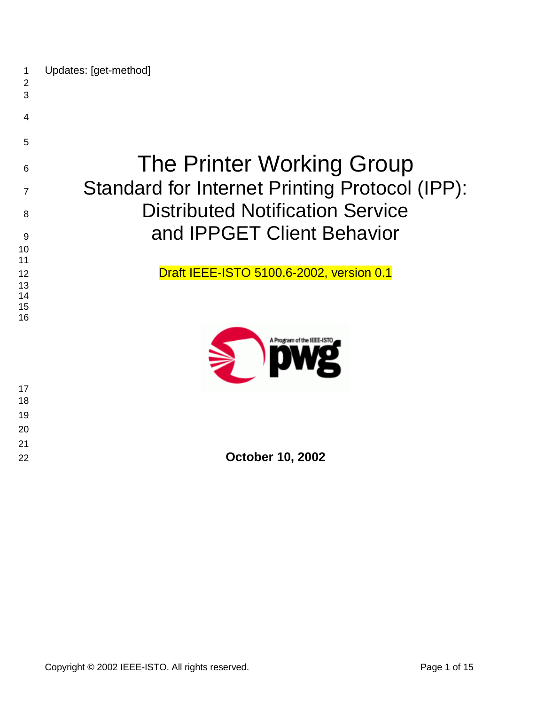| 1 |  | Updates: [get-method] |
|---|--|-----------------------|
|---|--|-----------------------|

 

 

# The Printer Working Group 7 Standard for Internet Printing Protocol (IPP): **Distributed Notification Service** 9 and IPPGET Client Behavior

12 Draft IEEE-ISTO 5100.6-2002, version 0.1



| 22 | <b>October 10, 2002</b> |
|----|-------------------------|
|    |                         |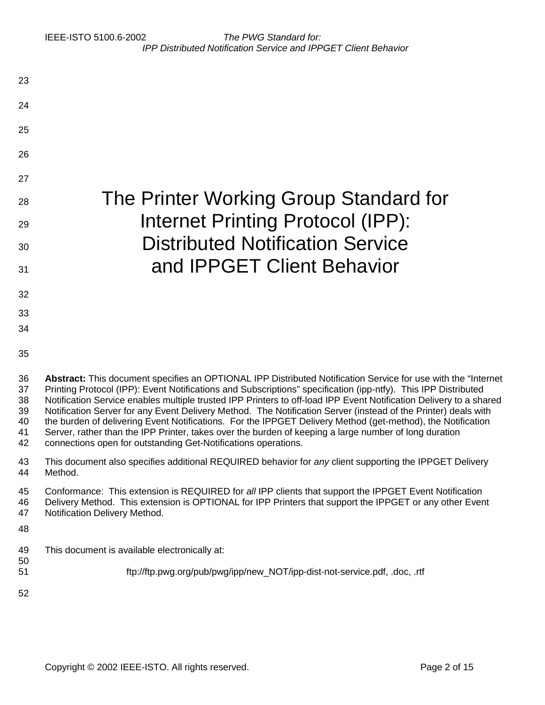| 23                                     |                                                                                                                                                                                                                                                                                                                                                                                                                                                                                                                                                                                                                                                                                                                                                                   |
|----------------------------------------|-------------------------------------------------------------------------------------------------------------------------------------------------------------------------------------------------------------------------------------------------------------------------------------------------------------------------------------------------------------------------------------------------------------------------------------------------------------------------------------------------------------------------------------------------------------------------------------------------------------------------------------------------------------------------------------------------------------------------------------------------------------------|
| 24                                     |                                                                                                                                                                                                                                                                                                                                                                                                                                                                                                                                                                                                                                                                                                                                                                   |
| 25                                     |                                                                                                                                                                                                                                                                                                                                                                                                                                                                                                                                                                                                                                                                                                                                                                   |
| 26                                     |                                                                                                                                                                                                                                                                                                                                                                                                                                                                                                                                                                                                                                                                                                                                                                   |
| 27                                     |                                                                                                                                                                                                                                                                                                                                                                                                                                                                                                                                                                                                                                                                                                                                                                   |
| 28                                     | The Printer Working Group Standard for                                                                                                                                                                                                                                                                                                                                                                                                                                                                                                                                                                                                                                                                                                                            |
| 29                                     | Internet Printing Protocol (IPP):                                                                                                                                                                                                                                                                                                                                                                                                                                                                                                                                                                                                                                                                                                                                 |
| 30                                     | <b>Distributed Notification Service</b>                                                                                                                                                                                                                                                                                                                                                                                                                                                                                                                                                                                                                                                                                                                           |
| 31                                     | and <b>IPPGET</b> Client Behavior                                                                                                                                                                                                                                                                                                                                                                                                                                                                                                                                                                                                                                                                                                                                 |
| 32                                     |                                                                                                                                                                                                                                                                                                                                                                                                                                                                                                                                                                                                                                                                                                                                                                   |
| 33                                     |                                                                                                                                                                                                                                                                                                                                                                                                                                                                                                                                                                                                                                                                                                                                                                   |
| 34                                     |                                                                                                                                                                                                                                                                                                                                                                                                                                                                                                                                                                                                                                                                                                                                                                   |
| 35                                     |                                                                                                                                                                                                                                                                                                                                                                                                                                                                                                                                                                                                                                                                                                                                                                   |
| 36<br>37<br>38<br>39<br>40<br>41<br>42 | Abstract: This document specifies an OPTIONAL IPP Distributed Notification Service for use with the "Internet<br>Printing Protocol (IPP): Event Notifications and Subscriptions" specification (ipp-ntfy). This IPP Distributed<br>Notification Service enables multiple trusted IPP Printers to off-load IPP Event Notification Delivery to a shared<br>Notification Server for any Event Delivery Method. The Notification Server (instead of the Printer) deals with<br>the burden of delivering Event Notifications. For the IPPGET Delivery Method (get-method), the Notification<br>Server, rather than the IPP Printer, takes over the burden of keeping a large number of long duration<br>connections open for outstanding Get-Notifications operations. |
| 43<br>44                               | This document also specifies additional REQUIRED behavior for any client supporting the IPPGET Delivery<br>Method.                                                                                                                                                                                                                                                                                                                                                                                                                                                                                                                                                                                                                                                |
| 45<br>46<br>47                         | Conformance: This extension is REQUIRED for all IPP clients that support the IPPGET Event Notification<br>Delivery Method. This extension is OPTIONAL for IPP Printers that support the IPPGET or any other Event<br>Notification Delivery Method.                                                                                                                                                                                                                                                                                                                                                                                                                                                                                                                |
| 48                                     |                                                                                                                                                                                                                                                                                                                                                                                                                                                                                                                                                                                                                                                                                                                                                                   |
| 49<br>50                               | This document is available electronically at:                                                                                                                                                                                                                                                                                                                                                                                                                                                                                                                                                                                                                                                                                                                     |
| 51                                     | ftp://ftp.pwg.org/pub/pwg/ipp/new_NOT/ipp-dist-not-service.pdf, .doc, .rtf                                                                                                                                                                                                                                                                                                                                                                                                                                                                                                                                                                                                                                                                                        |
| 52                                     |                                                                                                                                                                                                                                                                                                                                                                                                                                                                                                                                                                                                                                                                                                                                                                   |
|                                        |                                                                                                                                                                                                                                                                                                                                                                                                                                                                                                                                                                                                                                                                                                                                                                   |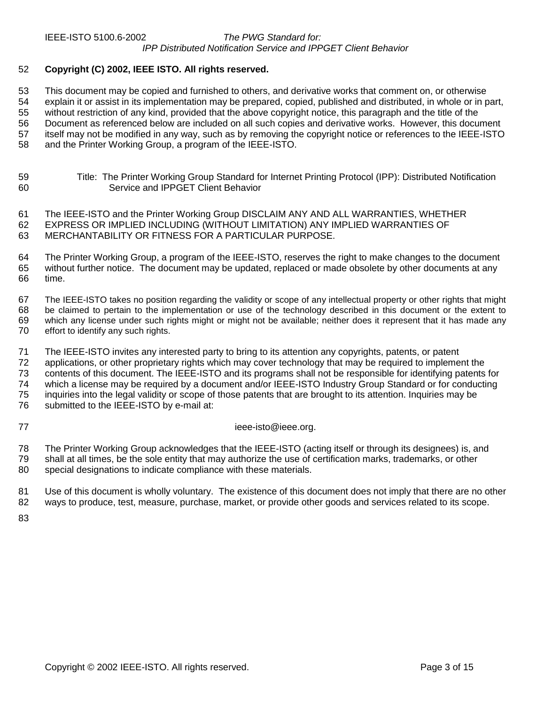#### 52 **Copyright (C) 2002, IEEE ISTO. All rights reserved.**

53 This document may be copied and furnished to others, and derivative works that comment on, or otherwise 54 explain it or assist in its implementation may be prepared, copied, published and distributed, in whole or in part, 55 without restriction of any kind, provided that the above copyright notice, this paragraph and the title of the 56 Document as referenced below are included on all such copies and derivative works. However, this document 57 itself may not be modified in any way, such as by removing the copyright notice or references to the IEEE-ISTO 58 and the Printer Working Group, a program of the IEEE-ISTO.

| 59 | Title: The Printer Working Group Standard for Internet Printing Protocol (IPP): Distributed Notification |
|----|----------------------------------------------------------------------------------------------------------|
| 60 | Service and IPPGET Client Behavior                                                                       |

61 The IEEE-ISTO and the Printer Working Group DISCLAIM ANY AND ALL WARRANTIES, WHETHER 62 EXPRESS OR IMPLIED INCLUDING (WITHOUT LIMITATION) ANY IMPLIED WARRANTIES OF 63 MERCHANTABILITY OR FITNESS FOR A PARTICULAR PURPOSE.

64 The Printer Working Group, a program of the IEEE-ISTO, reserves the right to make changes to the document 65 without further notice. The document may be updated, replaced or made obsolete by other documents at any time.

67 The IEEE-ISTO takes no position regarding the validity or scope of any intellectual property or other rights that might 68 be claimed to pertain to the implementation or use of the technology described in this document or the extent to 69 which any license under such rights might or might not be available; neither does it represent that it has made any 70 effort to identify any such rights.

71 The IEEE-ISTO invites any interested party to bring to its attention any copyrights, patents, or patent

72 applications, or other proprietary rights which may cover technology that may be required to implement the 73 contents of this document. The IEEE-ISTO and its programs shall not be responsible for identifying patents for

74 which a license may be required by a document and/or IEEE-ISTO Industry Group Standard or for conducting 75 inquiries into the legal validity or scope of those patents that are brought to its attention. Inquiries may be

76 submitted to the IEEE-ISTO by e-mail at:

77 ieee-isto@ieee.org.

78 The Printer Working Group acknowledges that the IEEE-ISTO (acting itself or through its designees) is, and 79 shall at all times, be the sole entity that may authorize the use of certification marks, trademarks, or other 80 special designations to indicate compliance with these materials.

81 Use of this document is wholly voluntary. The existence of this document does not imply that there are no other 82 ways to produce, test, measure, purchase, market, or provide other goods and services related to its scope.

83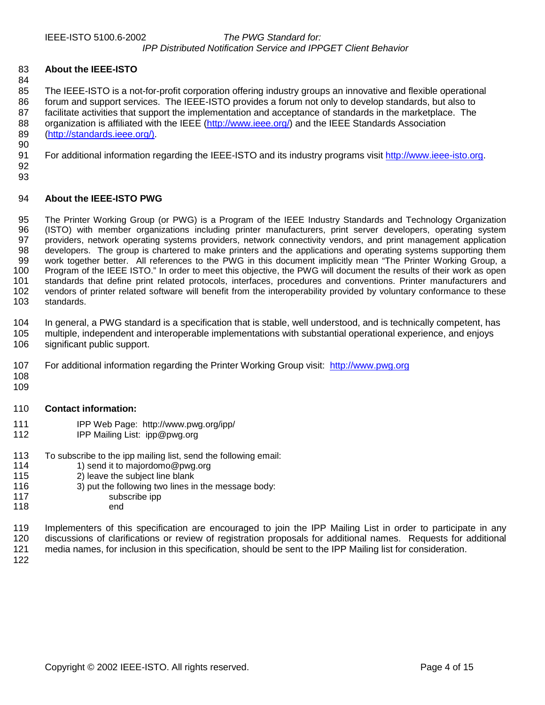#### 83 **About the IEEE-ISTO**

84 85 The IEEE-ISTO is a not-for-profit corporation offering industry groups an innovative and flexible operational 86 forum and support services. The IEEE-ISTO provides a forum not only to develop standards, but also to 87 facilitate activities that support the implementation and acceptance of standards in the marketplace. The facilitate activities that support the implementation and acceptance of standards in the marketplace. The 88 organization is affiliated with the IEEE [\(http://www.ieee.org/\)](http://www.ieee.org/) and the IEEE Standards Association 89 ([http://standards.ieee.org/\).](http://standards.ieee.org/)) 90

91 For additional information regarding the IEEE-ISTO and its industry programs visit http://www.ieee-isto.org.

92 93

#### 94 **About the IEEE-ISTO PWG**

95 The Printer Working Group (or PWG) is a Program of the IEEE Industry Standards and Technology Organization 96 (ISTO) with member organizations including printer manufacturers, print server developers, operating system<br>97 providers network operating systems providers, network connectivity vendors, and print management applicatio 97 providers, network operating systems providers, network connectivity vendors, and print management application<br>98 developers. The group is chartered to make printers and the applications and operating systems supporting developers. The group is chartered to make printers and the applications and operating systems supporting them 99 work together better. All references to the PWG in this document implicitly mean "The Printer Working Group, a 100 Program of the IEEE ISTO." In order to meet this objective, the PWG will document the results of their work as open<br>101 standards that define print related protocols, interfaces, procedures and conventions. Printer man standards that define print related protocols, interfaces, procedures and conventions. Printer manufacturers and 102 vendors of printer related software will benefit from the interoperability provided by voluntary conformance to these 103 standards.

104 In general, a PWG standard is a specification that is stable, well understood, and is technically competent, has 105 multiple, independent and interoperable implementations with substantial operational experience, and enjoys 106 significant public support.

- 107 For additional information regarding the Printer Working Group visit: http://www.pwg.org
- 108 109
- 

### 110 **Contact information:**

- 111 IPP Web Page: http://www.pwg.org/ipp/
- 112 IPP Mailing List: ipp@pwg.org
- 113 To subscribe to the ipp mailing list, send the following email:<br>114 1) send it to maiordomo@pwg.org
- 114 1) send it to majordomo@pwg.org<br>115 2) leave the subject line blank
- 2) leave the subject line blank
- 116 3) put the following two lines in the message body:
- 117 subscribe ipp
- 118 end
- 119 Implementers of this specification are encouraged to join the IPP Mailing List in order to participate in any 120 discussions of clarifications or review of registration proposals for additional names. Requests for additional 121 media names, for inclusion in this specification, should be sent to the IPP Mailing list for consideration.
- 122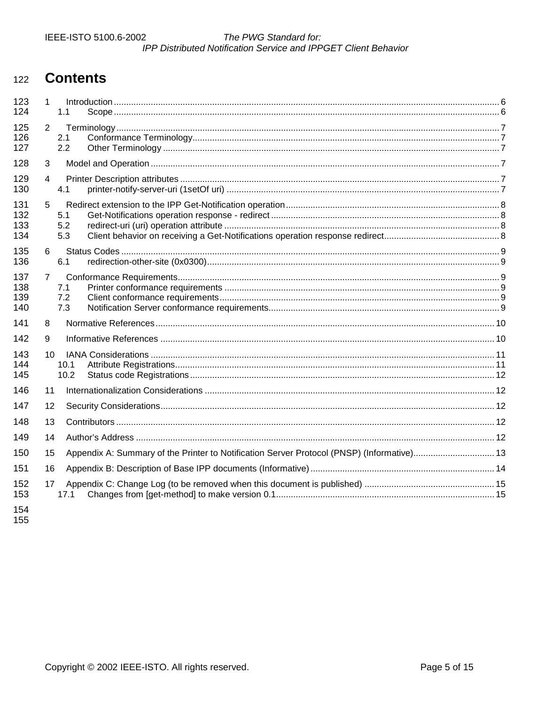#### The PWG Standard for: IPP Distributed Notification Service and IPPGET Client Behavior

#### **Contents** 122

| 123<br>124 | 1            | 1.1                                                                                        |  |
|------------|--------------|--------------------------------------------------------------------------------------------|--|
|            |              |                                                                                            |  |
| 125<br>126 | 2            | 2.1                                                                                        |  |
| 127        |              | 2.2                                                                                        |  |
| 128        | 3            |                                                                                            |  |
| 129        | 4            |                                                                                            |  |
| 130        |              | 4.1                                                                                        |  |
| 131        | 5            |                                                                                            |  |
| 132        |              | 5.1                                                                                        |  |
| 133        |              | 5.2                                                                                        |  |
| 134        |              | 5.3                                                                                        |  |
| 135        | 6            |                                                                                            |  |
| 136        |              | 6.1                                                                                        |  |
| 137        | $\mathbf{7}$ |                                                                                            |  |
| 138        |              | 7.1                                                                                        |  |
| 139        |              | 7.2                                                                                        |  |
| 140        |              | 7.3                                                                                        |  |
| 141        | 8            |                                                                                            |  |
| 142        | 9            |                                                                                            |  |
| 143        | 10           |                                                                                            |  |
| 144        |              | 10.1                                                                                       |  |
| 145        |              | 10.2                                                                                       |  |
| 146        | 11           |                                                                                            |  |
| 147        | 12           |                                                                                            |  |
| 148        | 13           |                                                                                            |  |
| 149        | 14           |                                                                                            |  |
| 150        | 15           | Appendix A: Summary of the Printer to Notification Server Protocol (PNSP) (Informative) 13 |  |
| 151        | 16           |                                                                                            |  |
| 152        | 17           |                                                                                            |  |
| 153        |              | 17.1                                                                                       |  |
| 154        |              |                                                                                            |  |

155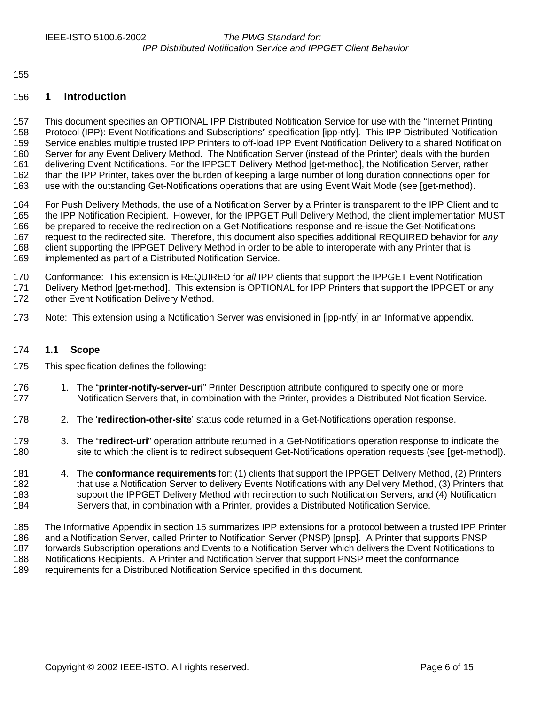<span id="page-5-0"></span>155

#### 156 **1 Introduction**

157 This document specifies an OPTIONAL IPP Distributed Notification Service for use with the "Internet Printing 158 Protocol (IPP): Event Notifications and Subscriptions" specification [ipp-ntfy]. This IPP Distributed Notification 159 Service enables multiple trusted IPP Printers to off-load IPP Event Notification Delivery to a shared Notification 160 Server for any Event Delivery Method. The Notification Server (instead of the Printer) deals with the burden 161 delivering Event Notifications. For the IPPGET Delivery Method [get-method], the Notification Server, rather 162 than the IPP Printer, takes over the burden of keeping a large number of long duration connections open for 163 use with the outstanding Get-Notifications operations that are using Event Wait Mode (see [get-method).

164 For Push Delivery Methods, the use of a Notification Server by a Printer is transparent to the IPP Client and to 165 the IPP Notification Recipient. However, for the IPPGET Pull Delivery Method, the client implementation MUST 166 be prepared to receive the redirection on a Get-Notifications response and re-issue the Get-Notifications 167 request to the redirected site. Therefore, this document also specifies additional REQUIRED behavior for *any* 168 client supporting the IPPGET Delivery Method in order to be able to interoperate with any Printer that is 169 implemented as part of a Distributed Notification Service.

170 Conformance: This extension is REQUIRED for *all* IPP clients that support the IPPGET Event Notification 171 Delivery Method [get-method]. This extension is OPTIONAL for IPP Printers that support the IPPGET or any 172 other Event Notification Delivery Method.

173 Note: This extension using a Notification Server was envisioned in [ipp-ntfy] in an Informative appendix.

#### 174 **1.1 Scope**

- 175 This specification defines the following:
- 176 1. The "**printer-notify-server-uri**" Printer Description attribute configured to specify one or more 177 Notification Servers that, in combination with the Printer, provides a Distributed Notification Service.
- 178 2. The '**redirection-other-site**' status code returned in a Get-Notifications operation response.
- 179 3. The "**redirect-uri**" operation attribute returned in a Get-Notifications operation response to indicate the 180 site to which the client is to redirect subsequent Get-Notifications operation requests (see [get-method]).
- 181 4. The **conformance requirements** for: (1) clients that support the IPPGET Delivery Method, (2) Printers 182 that use a Notification Server to delivery Events Notifications with any Delivery Method, (3) Printers that 183 support the IPPGET Delivery Method with redirection to such Notification Servers, and (4) Notification 184 Servers that, in combination with a Printer, provides a Distributed Notification Service.
- 185 The Informative Appendix in section [15 s](#page-12-0)ummarizes IPP extensions for a protocol between a trusted IPP Printer 186 and a Notification Server, called Printer to Notification Server (PNSP) [pnsp]. A Printer that supports PNSP 187 forwards Subscription operations and Events to a Notification Server which delivers the Event Notifications to 188 Notifications Recipients. A Printer and Notification Server that support PNSP meet the conformance 189 requirements for a Distributed Notification Service specified in this document.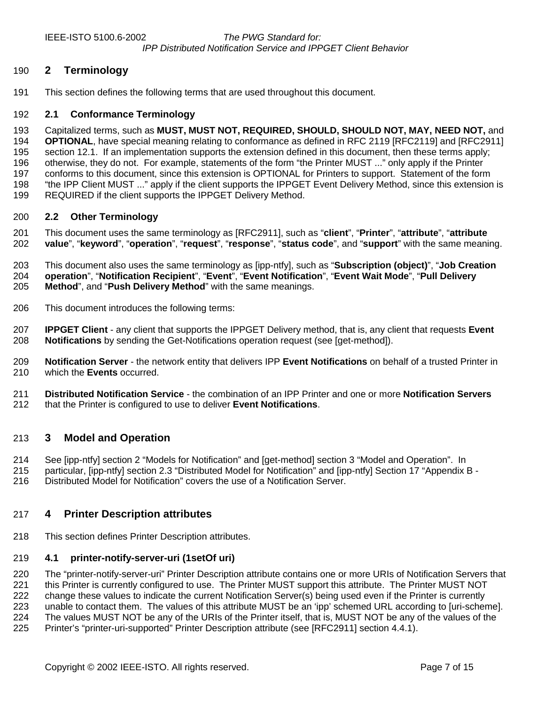<span id="page-6-0"></span>

#### 190 **2 Terminology**

191 This section defines the following terms that are used throughout this document.

#### 192 **2.1 Conformance Terminology**

193 Capitalized terms, such as **MUST, MUST NOT, REQUIRED, SHOULD, SHOULD NOT, MAY, NEED NOT,** and 194 **OPTIONAL**, have special meaning relating to conformance as defined in RFC 2119 [RFC2119] and [RFC2911] 195 section 12.1. If an implementation supports the extension defined in this document, then these terms apply; 196 otherwise, they do not. For example, statements of the form "the Printer MUST ..." only apply if the Printer 197 conforms to this document, since this extension is OPTIONAL for Printers to support. Statement of the form 198 "the IPP Client MUST ..." apply if the client supports the IPPGET Event Delivery Method, since this extension is 199 REQUIRED if the client supports the IPPGET Delivery Method.

#### 200 **2.2 Other Terminology**

201 This document uses the same terminology as [RFC2911], such as "**client**", "**Printer**", "**attribute**", "**attribute**  202 **value**", "**keyword**", "**operation**", "**request**", "**response**", "**status code**", and "**support**" with the same meaning.

203 This document also uses the same terminology as [ipp-ntfy], such as "**Subscription (object)**", "**Job Creation**  204 **operation**", "**Notification Recipient**", "**Event**", "**Event Notification**", "**Event Wait Mode**", "**Pull Delivery**  205 **Method**", and "**Push Delivery Method**" with the same meanings.

206 This document introduces the following terms:

207 **IPPGET Client** - any client that supports the IPPGET Delivery method, that is, any client that requests **Event**  208 **Notifications** by sending the Get-Notifications operation request (see [get-method]).

209 **Notification Server** - the network entity that delivers IPP **Event Notifications** on behalf of a trusted Printer in 210 which the **Events** occurred.

211 **Distributed Notification Service** - the combination of an IPP Printer and one or more **Notification Servers** 212 that the Printer is configured to use to deliver **Event Notifications**.

#### 213 **3 Model and Operation**

214 See [ipp-ntfy] section 2 "Models for Notification" and [get-method] section 3 "Model and Operation". In

215 particular, [ipp-ntfy] section 2.3 "Distributed Model for Notification" and [ipp-ntfy] Section 17 "Appendix B - 216 Distributed Model for Notification" covers the use of a Notification Server.

#### 217 **4 Printer Description attributes**

218 This section defines Printer Description attributes.

#### 219 **4.1 printer-notify-server-uri (1setOf uri)**

220 The "printer-notify-server-uri" Printer Description attribute contains one or more URIs of Notification Servers that 221 this Printer is currently configured to use. The Printer MUST support this attribute. The Printer MUST NOT 222 change these values to indicate the current Notification Server(s) being used even if the Printer is currently 223 unable to contact them. The values of this attribute MUST be an 'ipp' schemed URL according to [uri-scheme]. 224 The values MUST NOT be any of the URIs of the Printer itself, that is, MUST NOT be any of the values of the 225 Printer's "printer-uri-supported" Printer Description attribute (see [RFC2911] section 4.4.1).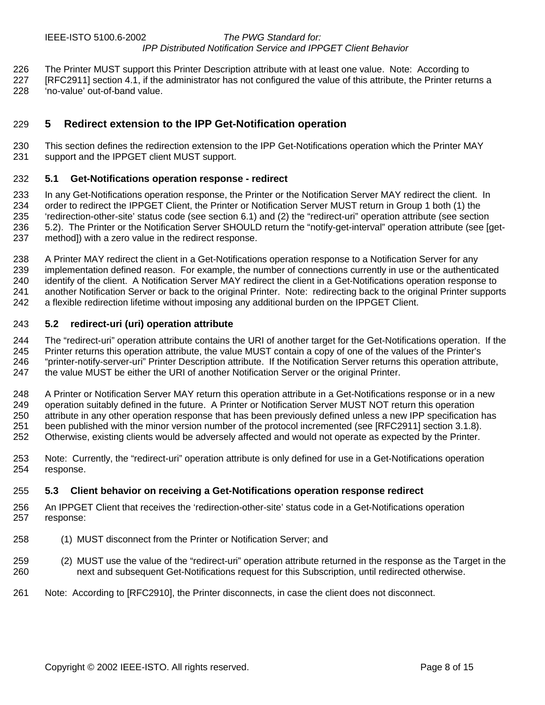- <span id="page-7-0"></span>226 The Printer MUST support this Printer Description attribute with at least one value. Note: According to
- 227 [RFC2911] section 4.1, if the administrator has not configured the value of this attribute, the Printer returns a 228 'no-value' out-of-band value.

## 229 **5 Redirect extension to the IPP Get-Notification operation**

230 This section defines the redirection extension to the IPP Get-Notifications operation which the Printer MAY 231 support and the IPPGET client MUST support.

#### 232 **5.1 Get-Notifications operation response - redirect**

233 In any Get-Notifications operation response, the Printer or the Notification Server MAY redirect the client. In 234 order to redirect the IPPGET Client, the Printer or Notification Server MUST return in Group 1 both (1) the 235 'redirection-other-site' status code (see section [6.1\)](#page-8-0) and (2) the "redirect-uri" operation attribute (see section 236 5.2). The Printer or the Notification Server SHOULD return the "notify-get-interval" operation attribute (see [get-237 method]) with a zero value in the redirect response.

238 A Printer MAY redirect the client in a Get-Notifications operation response to a Notification Server for any 239 implementation defined reason. For example, the number of connections currently in use or the authenticated 240 identify of the client. A Notification Server MAY redirect the client in a Get-Notifications operation response to 241 another Notification Server or back to the original Printer. Note: redirecting back to the original Printer supports 242 a flexible redirection lifetime without imposing any additional burden on the IPPGET Client.

#### 243 **5.2 redirect-uri (uri) operation attribute**

244 The "redirect-uri" operation attribute contains the URI of another target for the Get-Notifications operation. If the 245 Printer returns this operation attribute, the value MUST contain a copy of one of the values of the Printer's 246 "printer-notify-server-uri" Printer Description attribute. If the Notification Server returns this operation attribute, 247 the value MUST be either the URI of another Notification Server or the original Printer.

248 A Printer or Notification Server MAY return this operation attribute in a Get-Notifications response or in a new 249 operation suitably defined in the future. A Printer or Notification Server MUST NOT return this operation 250 attribute in any other operation response that has been previously defined unless a new IPP specification has 251 been published with the minor version number of the protocol incremented (see [RFC2911] section 3.1.8). 252 Otherwise, existing clients would be adversely affected and would not operate as expected by the Printer.

253 Note: Currently, the "redirect-uri" operation attribute is only defined for use in a Get-Notifications operation 254 response.

#### 255 **5.3 Client behavior on receiving a Get-Notifications operation response redirect**

- 256 An IPPGET Client that receives the 'redirection-other-site' status code in a Get-Notifications operation 257 response:
- 258 (1) MUST disconnect from the Printer or Notification Server; and
- 259 (2) MUST use the value of the "redirect-uri" operation attribute returned in the response as the Target in the 260 next and subsequent Get-Notifications request for this Subscription, until redirected otherwise.
- 261 Note: According to [RFC2910], the Printer disconnects, in case the client does not disconnect.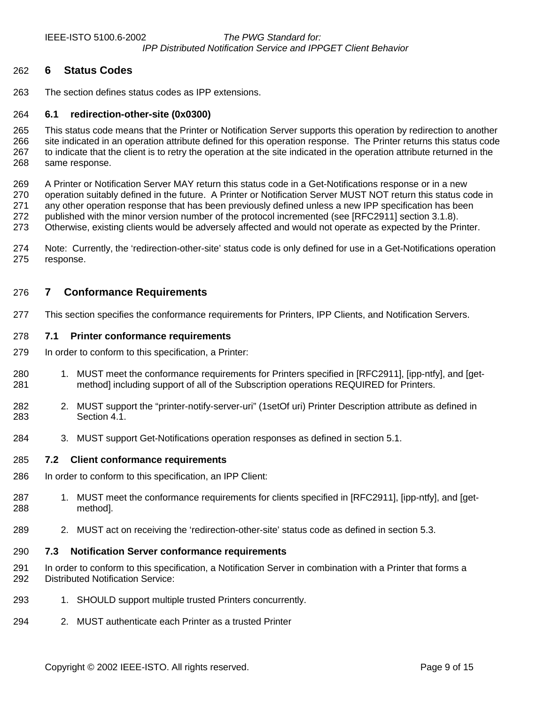<span id="page-8-0"></span>

#### 262 **6 Status Codes**

263 The section defines status codes as IPP extensions.

#### 264 **6.1 redirection-other-site (0x0300)**

265 This status code means that the Printer or Notification Server supports this operation by redirection to another 266 site indicated in an operation attribute defined for this operation response. The Printer returns this status code 267 to indicate that the client is to retry the operation at the site indicated in the operation attribute returned in the 268 same response.

269 A Printer or Notification Server MAY return this status code in a Get-Notifications response or in a new 270 operation suitably defined in the future. A Printer or Notification Server MUST NOT return this status code in 271 any other operation response that has been previously defined unless a new IPP specification has been 272 published with the minor version number of the protocol incremented (see [RFC2911] section 3.1.8).

273 Otherwise, existing clients would be adversely affected and would not operate as expected by the Printer.

274 Note: Currently, the 'redirection-other-site' status code is only defined for use in a Get-Notifications operation 275 response.

#### 276 **7 Conformance Requirements**

277 This section specifies the conformance requirements for Printers, IPP Clients, and Notification Servers.

#### 278 **7.1 Printer conformance requirements**

- 279 In order to conform to this specification, a Printer:
- 280 1. MUST meet the conformance requirements for Printers specified in [RFC2911], [ipp-ntfy], and [get-281 method] including support of all of the Subscription operations REQUIRED for Printers.
- 282 2. MUST support the "printer-notify-server-uri" (1setOf uri) Printer Description attribute as defined in 283 Section [4.1.](#page-6-0)
- 284 3. MUST support Get-Notifications operation responses as defined in section [5.1.](#page-7-0)

#### 285 **7.2 Client conformance requirements**

- 286 In order to conform to this specification, an IPP Client:
- 287 1. MUST meet the conformance requirements for clients specified in [RFC2911], [ipp-ntfy], and [get-288 method].
- 289 2. MUST act on receiving the 'redirection-other-site' status code as defined in section [5.3.](#page-7-0)

#### 290 **7.3 Notification Server conformance requirements**

- 291 In order to conform to this specification, a Notification Server in combination with a Printer that forms a 292 Distributed Notification Service:
- 293 1. SHOULD support multiple trusted Printers concurrently.
- 294 2. MUST authenticate each Printer as a trusted Printer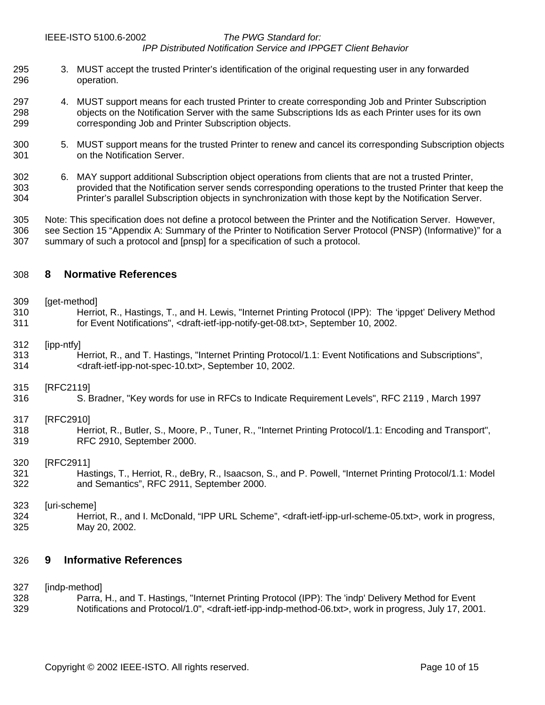#### <span id="page-9-0"></span>IEEE-ISTO 5100.6-2002 *The PWG Standard for:*

#### *IPP Distributed Notification Service and IPPGET Client Behavior*

- 295 3. MUST accept the trusted Printer's identification of the original requesting user in any forwarded 296 operation.
- 297 4. MUST support means for each trusted Printer to create corresponding Job and Printer Subscription 298 objects on the Notification Server with the same Subscriptions Ids as each Printer uses for its own<br>299 corresponding Job and Printer Subscription objects. corresponding Job and Printer Subscription objects.
- 300 5. MUST support means for the trusted Printer to renew and cancel its corresponding Subscription objects 301 on the Notification Server.
- 302 6. MAY support additional Subscription object operations from clients that are not a trusted Printer, 303 provided that the Notification server sends corresponding operations to the trusted Printer that keep the 304 Printer's parallel Subscription objects in synchronization with those kept by the Notification Server.

305 Note: This specification does not define a protocol between the Printer and the Notification Server. However, 306 see Section [15 "Appendix A: Summary of the Printer to Notification Server Protocol \(PNSP\) \(Informative\)"](#page-12-0) for a 307 summary of such a protocol and [pnsp] for a specification of such a protocol.

#### 308 **8 Normative References**

#### 309 [get-method]

310 Herriot, R., Hastings, T., and H. Lewis, "Internet Printing Protocol (IPP): The 'ippget' Delivery Method 311 for Event Notifications", <draft-ietf-ipp-notify-get-08.txt>, September 10, 2002.

#### 312 [ipp-ntfy]

313 Herriot, R., and T. Hastings, "Internet Printing Protocol/1.1: Event Notifications and Subscriptions", 314 <draft-ietf-ipp-not-spec-10.txt>, September 10, 2002.

#### 315 [RFC2119]

316 S. Bradner, "Key words for use in RFCs to Indicate Requirement Levels", RFC 2119 , March 1997

#### 317 [RFC2910]

318 Herriot, R., Butler, S., Moore, P., Tuner, R., "Internet Printing Protocol/1.1: Encoding and Transport", 319 RFC 2910, September 2000.

#### 320 **IRFC29111**

321 Hastings, T., Herriot, R., deBry, R., Isaacson, S., and P. Powell, "Internet Printing Protocol/1.1: Model 322 and Semantics", RFC 2911, September 2000.

#### 323 [uri-scheme]

324 Herriot, R., and I. McDonald, "IPP URL Scheme", <draft-ietf-ipp-url-scheme-05.txt>, work in progress, 325 May 20, 2002.

### 326 **9 Informative References**

#### 327 [indp-method]

328 Parra, H., and T. Hastings, "Internet Printing Protocol (IPP): The 'indp' Delivery Method for Event 329 Notifications and Protocol/1.0", <draft-ietf-ipp-indp-method-06.txt>, work in progress, July 17, 2001.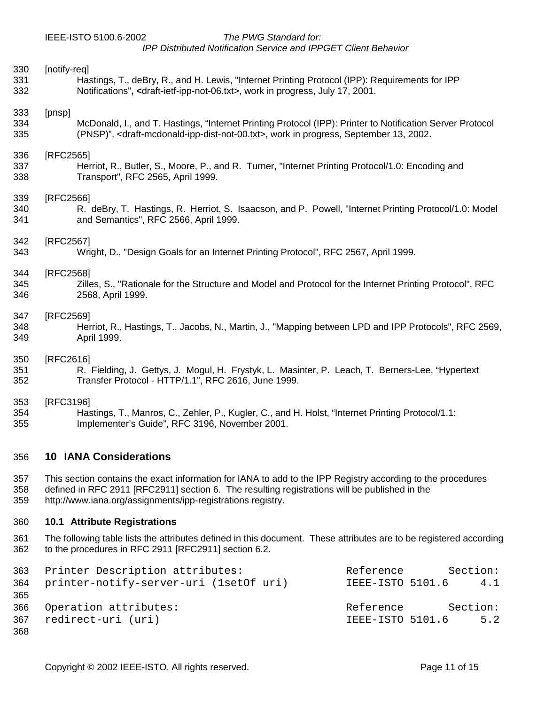#### <span id="page-10-0"></span>IEEE-ISTO 5100.6-2002 *The PWG Standard for:*

*IPP Distributed Notification Service and IPPGET Client Behavior* 

| 330 | [notify-req]                                                                                                              |
|-----|---------------------------------------------------------------------------------------------------------------------------|
| 331 | Hastings, T., deBry, R., and H. Lewis, "Internet Printing Protocol (IPP): Requirements for IPP                            |
| 332 | Notifications", <draft-ietf-ipp-not-06.txt>, work in progress, July 17, 2001.</draft-ietf-ipp-not-06.txt>                 |
| 333 | [pnsp]                                                                                                                    |
| 334 | McDonald, I., and T. Hastings, "Internet Printing Protocol (IPP): Printer to Notification Server Protocol                 |
| 335 | (PNSP)", <draft-mcdonald-ipp-dist-not-00.txt>, work in progress, September 13, 2002.</draft-mcdonald-ipp-dist-not-00.txt> |
| 336 | [RFC2565]                                                                                                                 |
| 337 | Herriot, R., Butler, S., Moore, P., and R. Turner, "Internet Printing Protocol/1.0: Encoding and                          |
| 338 | Transport", RFC 2565, April 1999.                                                                                         |
| 339 | [RFC2566]                                                                                                                 |
| 340 | R. deBry, T. Hastings, R. Herriot, S. Isaacson, and P. Powell, "Internet Printing Protocol/1.0: Model                     |
| 341 | and Semantics", RFC 2566, April 1999.                                                                                     |
| 342 | [RFC2567]                                                                                                                 |
| 343 | Wright, D., "Design Goals for an Internet Printing Protocol", RFC 2567, April 1999.                                       |
| 344 | [RFC2568]                                                                                                                 |
| 345 | Zilles, S., "Rationale for the Structure and Model and Protocol for the Internet Printing Protocol", RFC                  |
| 346 | 2568, April 1999.                                                                                                         |
| 347 | [RFC2569]                                                                                                                 |
| 348 | Herriot, R., Hastings, T., Jacobs, N., Martin, J., "Mapping between LPD and IPP Protocols", RFC 2569,                     |
| 349 | April 1999.                                                                                                               |
| 350 | [RFC2616]                                                                                                                 |
| 351 | R. Fielding, J. Gettys, J. Mogul, H. Frystyk, L. Masinter, P. Leach, T. Berners-Lee, "Hypertext                           |
| 352 | Transfer Protocol - HTTP/1.1", RFC 2616, June 1999.                                                                       |
| 353 | [RFC3196]                                                                                                                 |
| 354 | Hastings, T., Manros, C., Zehler, P., Kugler, C., and H. Holst, "Internet Printing Protocol/1.1:                          |
| 355 | Implementer's Guide", RFC 3196, November 2001.                                                                            |
| 356 | <b>10 IANA Considerations</b>                                                                                             |
| 357 | This section contains the exact information for IANA to add to the IPP Registry according to the procedures               |
| 358 | defined in RFC 2911 [RFC2911] section 6. The resulting registrations will be published in the                             |
| 359 | http://www.iana.org/assignments/ipp-registrations registry.                                                               |
|     |                                                                                                                           |

#### 360 **10.1 Attribute Registrations**

361 The following table lists the attributes defined in this document. These attributes are to be registered according<br>362 to the procedures in RFC 2911 [RFC2911] section 6.2. to the procedures in RFC 2911 [RFC2911] section 6.2.

|     | 363 Printer Description attributes:        | Reference        | Section: |
|-----|--------------------------------------------|------------------|----------|
|     | 364 printer-notify-server-uri (1setOf uri) | IEEE-ISTO 5101.6 | 4.1      |
| 365 |                                            |                  |          |
|     | 366 Operation attributes:                  | Reference        | Section: |
| 367 | redirect-uri (uri)                         | IEEE-ISTO 5101.6 | 5.2      |
| 368 |                                            |                  |          |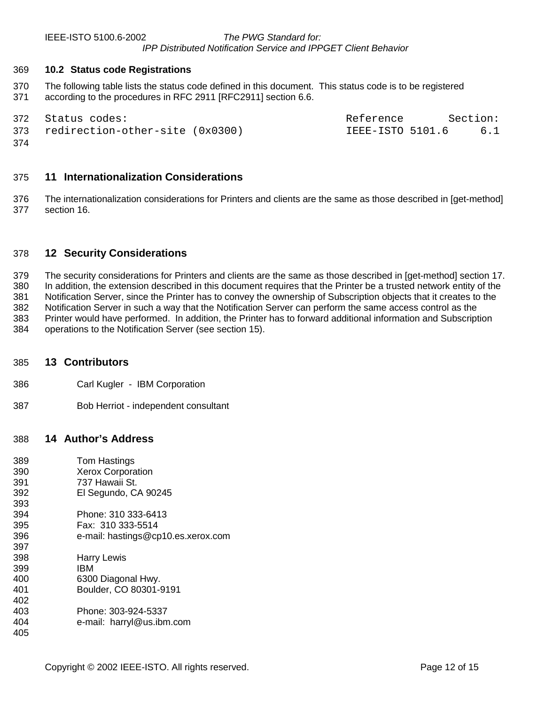<span id="page-11-0"></span>

#### 369 **10.2 Status code Registrations**

370 The following table lists the status code defined in this document. This status code is to be registered 371 according to the procedures in RFC 2911 [RFC2911] section 6.6.

|     | 372 Status codes:                   | Reference        | Section: |
|-----|-------------------------------------|------------------|----------|
|     | 373 redirection-other-site (0x0300) | IEEE-ISTO 5101.6 | 6.1      |
| 374 |                                     |                  |          |

#### 375 **11 Internationalization Considerations**

376 The internationalization considerations for Printers and clients are the same as those described in [get-method] 377 section 16.

#### 378 **12 Security Considerations**

379 The security considerations for Printers and clients are the same as those described in [get-method] section 17. 380 In addition, the extension described in this document requires that the Printer be a trusted network entity of the 381 Notification Server, since the Printer has to convey the ownership of Subscription objects that it creates to the 382 Notification Server in such a way that the Notification Server can perform the same access control as the 383 Printer would have performed. In addition, the Printer has to forward additional information and Subscription 384 operations to the Notification Server (see section [15\)](#page-12-0).

#### 385 **13 Contributors**

- 386 Carl Kugler IBM Corporation
- 387 Bob Herriot independent consultant

#### 388 **14 Author's Address**

| 389 | Tom Hastings                       |
|-----|------------------------------------|
| 390 | <b>Xerox Corporation</b>           |
| 391 | 737 Hawaii St.                     |
| 392 | El Segundo, CA 90245               |
| 393 |                                    |
| 394 | Phone: 310 333-6413                |
| 395 | Fax: 310 333-5514                  |
| 396 | e-mail: hastings@cp10.es.xerox.com |
| 397 |                                    |
| 398 | <b>Harry Lewis</b>                 |
| 399 | IBM                                |
| 400 | 6300 Diagonal Hwy.                 |
| 401 | Boulder, CO 80301-9191             |
| 402 |                                    |
| 403 | Phone: 303-924-5337                |
| 404 | e-mail: harryl@us.ibm.com          |
| 405 |                                    |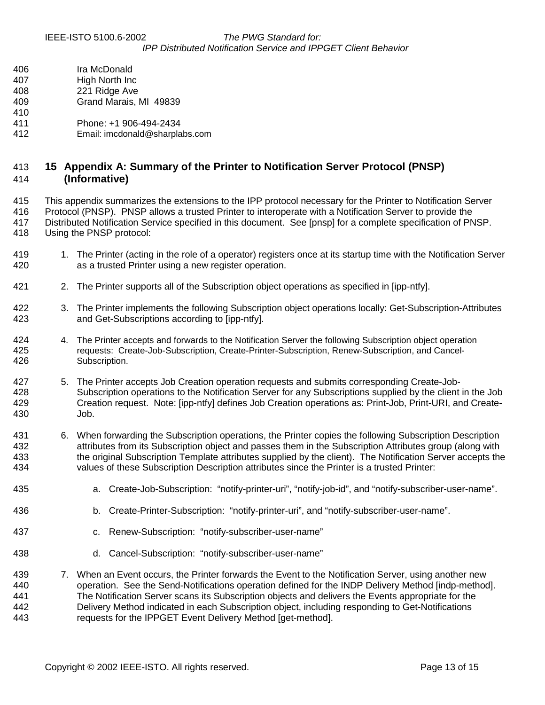- <span id="page-12-0"></span>406 Ira McDonald 407 High North Inc
- 408 221 Ridge Ave
- 409 Grand Marais, MI 49839
- 410
- 411 Phone: +1 906-494-2434
- 412 Email: imcdonald@sharplabs.com

## 413 **15 Appendix A: Summary of the Printer to Notification Server Protocol (PNSP)**  414 **(Informative)**

415 This appendix summarizes the extensions to the IPP protocol necessary for the Printer to Notification Server 416 Protocol (PNSP). PNSP allows a trusted Printer to interoperate with a Notification Server to provide the 417 Distributed Notification Service specified in this document. See [pnsp] for a complete specification of PNSP.

- 418 Using the PNSP protocol:
- 419 1. The Printer (acting in the role of a operator) registers once at its startup time with the Notification Server 420 as a trusted Printer using a new register operation.
- 421 2. The Printer supports all of the Subscription object operations as specified in [ipp-ntfy].
- 422 3. The Printer implements the following Subscription object operations locally: Get-Subscription-Attributes 423 and Get-Subscriptions according to [ipp-ntfy].
- 424 4. The Printer accepts and forwards to the Notification Server the following Subscription object operation 425 requests: Create-Job-Subscription, Create-Printer-Subscription, Renew-Subscription, and Cancel-426 Subscription.
- 427 5. The Printer accepts Job Creation operation requests and submits corresponding Create-Job-428 Subscription operations to the Notification Server for any Subscriptions supplied by the client in the Job 429 Creation request. Note: [ipp-ntfy] defines Job Creation operations as: Print-Job, Print-URI, and Create-430 Job.
- 431 6. When forwarding the Subscription operations, the Printer copies the following Subscription Description 432 attributes from its Subscription object and passes them in the Subscription Attributes group (along with 433 the original Subscription Template attributes supplied by the client). The Notification Server accepts the 434 values of these Subscription Description attributes since the Printer is a trusted Printer:
- 435 a. Create-Job-Subscription: "notify-printer-uri", "notify-job-id", and "notify-subscriber-user-name".
- 436 b. Create-Printer-Subscription: "notify-printer-uri", and "notify-subscriber-user-name".
- 437 c. Renew-Subscription: "notify-subscriber-user-name"
- 438 d. Cancel-Subscription: "notify-subscriber-user-name"
- 439 7. When an Event occurs, the Printer forwards the Event to the Notification Server, using another new 440 operation. See the Send-Notifications operation defined for the INDP Delivery Method [indp-method]. 441 The Notification Server scans its Subscription objects and delivers the Events appropriate for the 442 Delivery Method indicated in each Subscription object, including responding to Get-Notifications 443 requests for the IPPGET Event Delivery Method [get-method].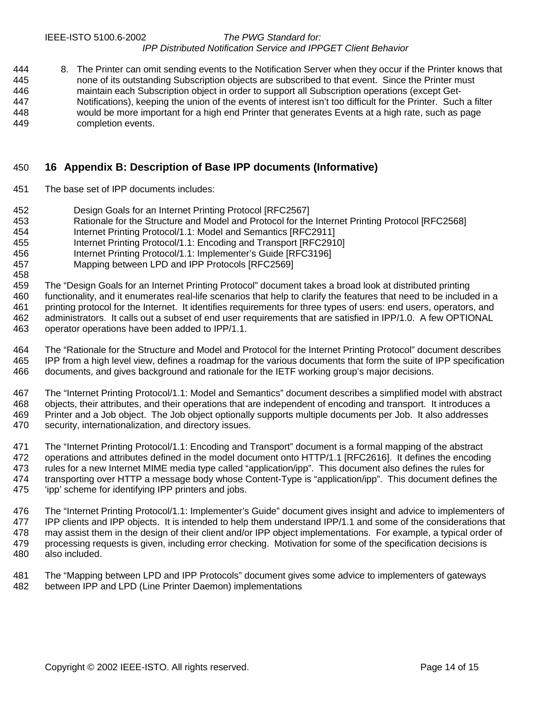<span id="page-13-0"></span>444 8. The Printer can omit sending events to the Notification Server when they occur if the Printer knows that 445 none of its outstanding Subscription objects are subscribed to that event. Since the Printer must 446 maintain each Subscription object in order to support all Subscription operations (except Get-447 Notifications), keeping the union of the events of interest isn't too difficult for the Printer. Such a filter<br>448 would be more important for a high end Printer that generates Events at a high rate, such as page would be more important for a high end Printer that generates Events at a high rate, such as page 449 completion events.

## 450 **16 Appendix B: Description of Base IPP documents (Informative)**

451 The base set of IPP documents includes:

458

- 452 Design Goals for an Internet Printing Protocol [RFC2567]
- 453 Rationale for the Structure and Model and Protocol for the Internet Printing Protocol [RFC2568]
- 454 Internet Printing Protocol/1.1: Model and Semantics [RFC2911]
- 455 Internet Printing Protocol/1.1: Encoding and Transport [RFC2910]
- 456 Internet Printing Protocol/1.1: Implementer's Guide [RFC3196]
- 457 Mapping between LPD and IPP Protocols [RFC2569]
- 459 The "Design Goals for an Internet Printing Protocol" document takes a broad look at distributed printing 460 functionality, and it enumerates real-life scenarios that help to clarify the features that need to be included in a 461 printing protocol for the Internet. It identifies requirements for three types of users: end users, operators, and 462 administrators. It calls out a subset of end user requirements that are satisfied in IPP/1.0. A few OPTIONAL 463 operator operations have been added to IPP/1.1.
- 464 The "Rationale for the Structure and Model and Protocol for the Internet Printing Protocol" document describes 465 IPP from a high level view, defines a roadmap for the various documents that form the suite of IPP specification 466 documents, and gives background and rationale for the IETF working group's major decisions.
- 467 The "Internet Printing Protocol/1.1: Model and Semantics" document describes a simplified model with abstract 468 objects, their attributes, and their operations that are independent of encoding and transport. It introduces a 469 Printer and a Job object. The Job object optionally supports multiple documents per Job. It also addresses 470 security, internationalization, and directory issues.
- 471 The "Internet Printing Protocol/1.1: Encoding and Transport" document is a formal mapping of the abstract 472 operations and attributes defined in the model document onto HTTP/1.1 [RFC2616]. It defines the encoding 473 rules for a new Internet MIME media type called "application/ipp". This document also defines the rules for 474 transporting over HTTP a message body whose Content-Type is "application/ipp". This document defines the 475 'ipp' scheme for identifying IPP printers and jobs.
- 476 The "Internet Printing Protocol/1.1: Implementer's Guide" document gives insight and advice to implementers of 477 IPP clients and IPP objects. It is intended to help them understand IPP/1.1 and some of the considerations that 478 may assist them in the design of their client and/or IPP object implementations. For example, a typical order of 479 processing requests is given, including error checking. Motivation for some of the specification decisions is 480 also included.
- 481 The "Mapping between LPD and IPP Protocols" document gives some advice to implementers of gateways 482 between IPP and LPD (Line Printer Daemon) implementations